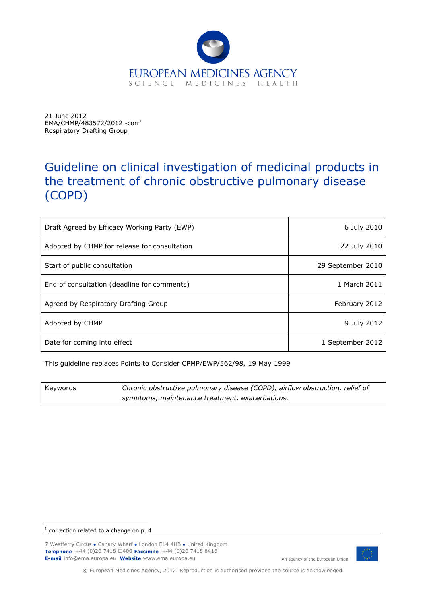

21 June 2012 EMA/CHMP/483572/2012 -corr[1](#page-0-0) Respiratory Drafting Group

# Guideline on clinical investigation of medicinal products in the treatment of chronic obstructive pulmonary disease (COPD)

| Draft Agreed by Efficacy Working Party (EWP) | 6 July 2010       |
|----------------------------------------------|-------------------|
| Adopted by CHMP for release for consultation | 22 July 2010      |
| Start of public consultation                 | 29 September 2010 |
| End of consultation (deadline for comments)  | 1 March 2011      |
| Agreed by Respiratory Drafting Group         | February 2012     |
| Adopted by CHMP                              | 9 July 2012       |
| Date for coming into effect                  | 1 September 2012  |

This guideline replaces Points to Consider CPMP/EWP/562/98, 19 May 1999

| Keywords | Chronic obstructive pulmonary disease (COPD), airflow obstruction, relief of |
|----------|------------------------------------------------------------------------------|
|          | symptoms, maintenance treatment, exacerbations.                              |

<span id="page-0-0"></span>1 correction related to a change on p. 4

7 Westferry Circus **●** Canary Wharf **●** London E14 4HB **●** United Kingdom **Telephone** +44 (0)20 7418 □400 **Facsimile** +44 (0)20 7418 8416 **E-mail** info@ema.europa.eu **Website** www.ema.europa.eu An agency of the European Union



© European Medicines Agency, 2012. Reproduction is authorised provided the source is acknowledged.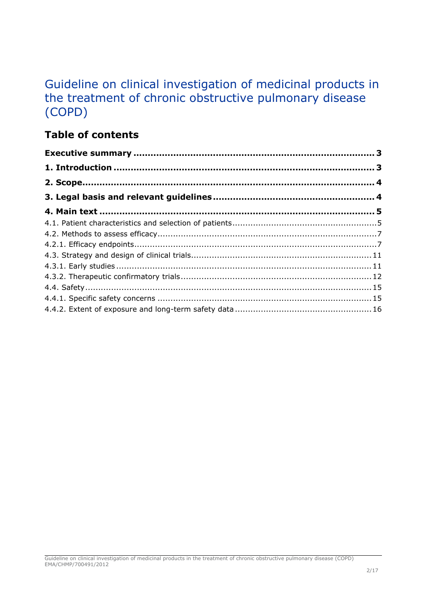# Guideline on clinical investigation of medicinal products in the treatment of chronic obstructive pulmonary disease (COPD)

## **Table of contents**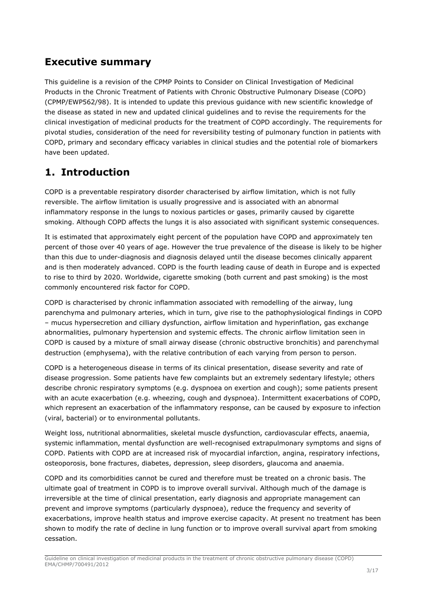## <span id="page-2-0"></span>**Executive summary**

This guideline is a revision of the CPMP Points to Consider on Clinical Investigation of Medicinal Products in the Chronic Treatment of Patients with Chronic Obstructive Pulmonary Disease (COPD) (CPMP/EWP562/98). It is intended to update this previous guidance with new scientific knowledge of the disease as stated in new and updated clinical guidelines and to revise the requirements for the clinical investigation of medicinal products for the treatment of COPD accordingly. The requirements for pivotal studies, consideration of the need for reversibility testing of pulmonary function in patients with COPD, primary and secondary efficacy variables in clinical studies and the potential role of biomarkers have been updated.

## <span id="page-2-1"></span>**1. Introduction**

COPD is a preventable respiratory disorder characterised by airflow limitation, which is not fully reversible. The airflow limitation is usually progressive and is associated with an abnormal inflammatory response in the lungs to noxious particles or gases, primarily caused by cigarette smoking. Although COPD affects the lungs it is also associated with significant systemic consequences.

It is estimated that approximately eight percent of the population have COPD and approximately ten percent of those over 40 years of age. However the true prevalence of the disease is likely to be higher than this due to under-diagnosis and diagnosis delayed until the disease becomes clinically apparent and is then moderately advanced. COPD is the fourth leading cause of death in Europe and is expected to rise to third by 2020. Worldwide, cigarette smoking (both current and past smoking) is the most commonly encountered risk factor for COPD.

COPD is characterised by chronic inflammation associated with remodelling of the airway, lung parenchyma and pulmonary arteries, which in turn, give rise to the pathophysiological findings in COPD – mucus hypersecretion and cilliary dysfunction, airflow limitation and hyperinflation, gas exchange abnormalities, pulmonary hypertension and systemic effects. The chronic airflow limitation seen in COPD is caused by a mixture of small airway disease (chronic obstructive bronchitis) and parenchymal destruction (emphysema), with the relative contribution of each varying from person to person.

COPD is a heterogeneous disease in terms of its clinical presentation, disease severity and rate of disease progression. Some patients have few complaints but an extremely sedentary lifestyle; others describe chronic respiratory symptoms (e.g. dyspnoea on exertion and cough); some patients present with an acute exacerbation (e.g. wheezing, cough and dyspnoea). Intermittent exacerbations of COPD, which represent an exacerbation of the inflammatory response, can be caused by exposure to infection (viral, bacterial) or to environmental pollutants.

Weight loss, nutritional abnormalities, skeletal muscle dysfunction, cardiovascular effects, anaemia, systemic inflammation, mental dysfunction are well-recognised extrapulmonary symptoms and signs of COPD. Patients with COPD are at increased risk of myocardial infarction, angina, respiratory infections, osteoporosis, bone fractures, diabetes, depression, sleep disorders, glaucoma and anaemia.

COPD and its comorbidities cannot be cured and therefore must be treated on a chronic basis. The ultimate goal of treatment in COPD is to improve overall survival. Although much of the damage is irreversible at the time of clinical presentation, early diagnosis and appropriate management can prevent and improve symptoms (particularly dyspnoea), reduce the frequency and severity of exacerbations, improve health status and improve exercise capacity. At present no treatment has been shown to modify the rate of decline in lung function or to improve overall survival apart from smoking cessation.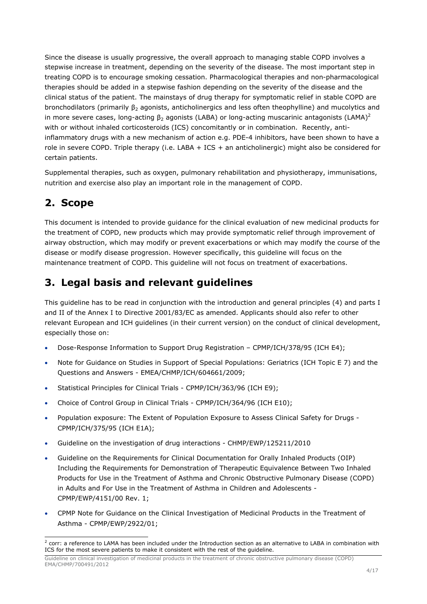Since the disease is usually progressive, the overall approach to managing stable COPD involves a stepwise increase in treatment, depending on the severity of the disease. The most important step in treating COPD is to encourage smoking cessation. Pharmacological therapies and non-pharmacological therapies should be added in a stepwise fashion depending on the severity of the disease and the clinical status of the patient. The mainstays of drug therapy for symptomatic relief in stable COPD are bronchodilators (primarily β2 agonists, anticholinergics and less often [theophylline\)](http://www.uptodate.com/online/content/topic.do?topicKey=drug_l_z/83119&drug=true) and mucolytics and in more severe cases, long-acting  $\beta_2$  $\beta_2$  agonists (LABA) or long-acting muscarinic antagonists (LAMA)<sup>2</sup> with or without inhaled [corticosteroids \(ICS\) concomitantly or in combination.](http://www.uptodate.com/online/content/topic.do?topicKey=ped_drug/145338&drug=true) Recently, antiinflammatory drugs with a new mechanism of action e.g. PDE-4 inhibitors, have been shown to have a role in severe COPD. Triple therapy (i.e. LABA + ICS + an anticholinergic) might also be considered for certain patients.

Supplemental therapies, such as [oxygen,](http://www.uptodate.com/online/content/topic.do?topicKey=drug_l_z/59794&drug=true) pulmonary rehabilitation and physiotherapy, immunisations, nutrition and exercise also play an important role in the management of COPD.

## <span id="page-3-0"></span>**2. Scope**

This document is intended to provide guidance for the clinical evaluation of new medicinal products for the treatment of COPD, new products which may provide symptomatic relief through improvement of airway obstruction, which may modify or prevent exacerbations or which may modify the course of the disease or modify disease progression. However specifically, this guideline will focus on the maintenance treatment of COPD. This guideline will not focus on treatment of exacerbations.

## <span id="page-3-1"></span>**3. Legal basis and relevant guidelines**

This guideline has to be read in conjunction with the introduction and general principles (4) and parts I and II of the Annex I to Directive 2001/83/EC as amended. Applicants should also refer to other relevant European and ICH guidelines (in their current version) on the conduct of clinical development, especially those on:

- Dose-Response Information to Support Drug Registration CPMP/ICH/378/95 (ICH E4);
- Note for Guidance on Studies in Support of Special Populations: Geriatrics (ICH Topic E 7) and the Questions and Answers - EMEA/CHMP/ICH/604661/2009;
- Statistical Principles for Clinical Trials CPMP/ICH/363/96 (ICH E9);
- Choice of Control Group in Clinical Trials CPMP/ICH/364/96 (ICH E10);
- Population exposure: The Extent of Population Exposure to Assess Clinical Safety for Drugs CPMP/ICH/375/95 (ICH E1A);
- Guideline on the investigation of drug interactions CHMP/EWP/125211/2010
- Guideline on the Requirements for Clinical Documentation for Orally Inhaled Products (OIP) Including the Requirements for Demonstration of Therapeutic Equivalence Between Two Inhaled Products for Use in the Treatment of Asthma and Chronic Obstructive Pulmonary Disease (COPD) in Adults and For Use in the Treatment of Asthma in Children and Adolescents - CPMP/EWP/4151/00 Rev. 1;
- CPMP Note for Guidance on the Clinical Investigation of Medicinal Products in the Treatment of Asthma - CPMP/EWP/2922/01;

<span id="page-3-2"></span>ł  $^2$  corr: a reference to LAMA has been included under the Introduction section as an alternative to LABA in combination with ICS for the most severe patients to make it consistent with the rest of the guideline.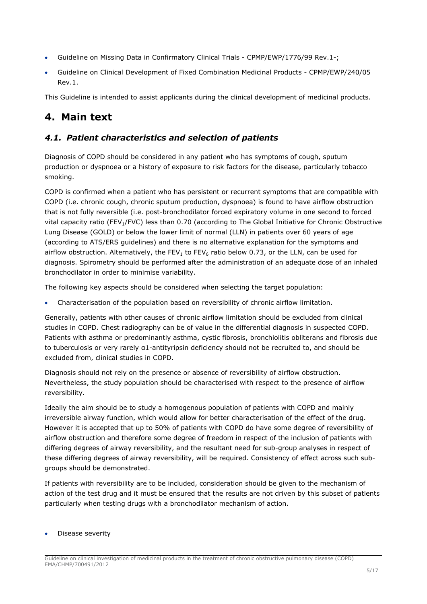- Guideline on Missing Data in Confirmatory Clinical Trials CPMP/EWP/1776/99 Rev.1-;
- Guideline on Clinical Development of Fixed Combination Medicinal Products CPMP/EWP/240/05 Rev.1.

This Guideline is intended to assist applicants during the clinical development of medicinal products.

## <span id="page-4-0"></span>**4. Main text**

## <span id="page-4-1"></span>*4.1. Patient characteristics and selection of patients*

Diagnosis of COPD should be considered in any patient who has symptoms of cough, sputum production or dyspnoea or a history of exposure to risk factors for the disease, particularly tobacco smoking.

COPD is confirmed when a patient who has persistent or recurrent symptoms that are compatible with COPD (i.e. chronic cough, chronic sputum production, dyspnoea) is found to have airflow obstruction that is not fully reversible (i.e. post-bronchodilator forced expiratory volume in one second to forced vital capacity ratio (FEV<sub>1</sub>/FVC) less than 0.70 (according to The Global Initiative for Chronic Obstructive Lung Disease (GOLD) or below the lower limit of normal (LLN) in patients over 60 years of age (according to ATS/ERS guidelines) and there is no alternative explanation for the symptoms and airflow obstruction. Alternatively, the FEV<sub>1</sub> to FEV<sub>6</sub> ratio below 0.73, or the LLN, can be used for diagnosis. Spirometry should be performed after the administration of an adequate dose of an inhaled bronchodilator in order to minimise variability.

The following key aspects should be considered when selecting the target population:

Characterisation of the population based on reversibility of chronic airflow limitation.

Generally, patients with other causes of chronic airflow limitation should be excluded from clinical studies in COPD. Chest radiography can be of value in the differential diagnosis in suspected COPD. Patients with asthma or predominantly asthma, cystic fibrosis, bronchiolitis obliterans and fibrosis due to tuberculosis or very rarely α1-antityripsin deficiency should not be recruited to, and should be excluded from, clinical studies in COPD.

Diagnosis should not rely on the presence or absence of reversibility of airflow obstruction. Nevertheless, the study population should be characterised with respect to the presence of airflow reversibility.

Ideally the aim should be to study a homogenous population of patients with COPD and mainly irreversible airway function, which would allow for better characterisation of the effect of the drug. However it is accepted that up to 50% of patients with COPD do have some degree of reversibility of airflow obstruction and therefore some degree of freedom in respect of the inclusion of patients with differing degrees of airway reversibility, and the resultant need for sub-group analyses in respect of these differing degrees of airway reversibility, will be required. Consistency of effect across such subgroups should be demonstrated.

If patients with reversibility are to be included, consideration should be given to the mechanism of action of the test drug and it must be ensured that the results are not driven by this subset of patients particularly when testing drugs with a bronchodilator mechanism of action.

#### Disease severity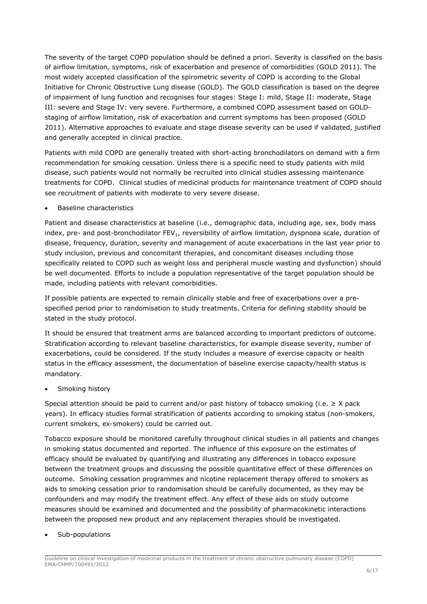The severity of the target COPD population should be defined a priori. Severity is classified on the basis of airflow limitation, symptoms, risk of exacerbation and presence of comorbidities (GOLD 2011). The most widely accepted classification of the spirometric severity of COPD is according to the Global Initiative for Chronic Obstructive Lung disease (GOLD). The GOLD classification is based on the degree of impairment of lung function and recognises four stages: Stage I: mild, Stage II: moderate, Stage III: severe and Stage IV: very severe. Furthermore, a combined COPD assessment based on GOLDstaging of airflow limitation, risk of exacerbation and current symptoms has been proposed (GOLD 2011). Alternative approaches to evaluate and stage disease severity can be used if validated, justified and generally accepted in clinical practice.

Patients with mild COPD are generally treated with short-acting bronchodilators on demand with a firm recommendation for smoking cessation. Unless there is a specific need to study patients with mild disease, such patients would not normally be recruited into clinical studies assessing maintenance treatments for COPD. Clinical studies of medicinal products for maintenance treatment of COPD should see recruitment of patients with moderate to very severe disease.

Baseline characteristics

Patient and disease characteristics at baseline (i.e., demographic data, including age, sex, body mass index, pre- and post-bronchodilator FEV<sub>1</sub>, reversibility of airflow limitation, dyspnoea scale, duration of disease, frequency, duration, severity and management of acute exacerbations in the last year prior to study inclusion, previous and concomitant therapies, and concomitant diseases including those specifically related to COPD such as weight loss and peripheral muscle wasting and dysfunction) should be well documented. Efforts to include a population representative of the target population should be made, including patients with relevant comorbidities.

If possible patients are expected to remain clinically stable and free of exacerbations over a prespecified period prior to randomisation to study treatments. Criteria for defining stability should be stated in the study protocol.

It should be ensured that treatment arms are balanced according to important predictors of outcome. Stratification according to relevant baseline characteristics, for example disease severity, number of exacerbations, could be considered. If the study includes a measure of exercise capacity or health status in the efficacy assessment, the documentation of baseline exercise capacity/health status is mandatory.

Smoking history

Special attention should be paid to current and/or past history of tobacco smoking (i.e.  $\geq$  X pack years). In efficacy studies formal stratification of patients according to smoking status (non-smokers, current smokers, ex-smokers) could be carried out.

Tobacco exposure should be monitored carefully throughout clinical studies in all patients and changes in smoking status documented and reported. The influence of this exposure on the estimates of efficacy should be evaluated by quantifying and illustrating any differences in tobacco exposure between the treatment groups and discussing the possible quantitative effect of these differences on outcome. Smoking cessation programmes and nicotine replacement therapy offered to smokers as aids to smoking cessation prior to randomisation should be carefully documented, as they may be confounders and may modify the treatment effect. Any effect of these aids on study outcome measures should be examined and documented and the possibility of pharmacokinetic interactions between the proposed new product and any replacement therapies should be investigated.

## Sub-populations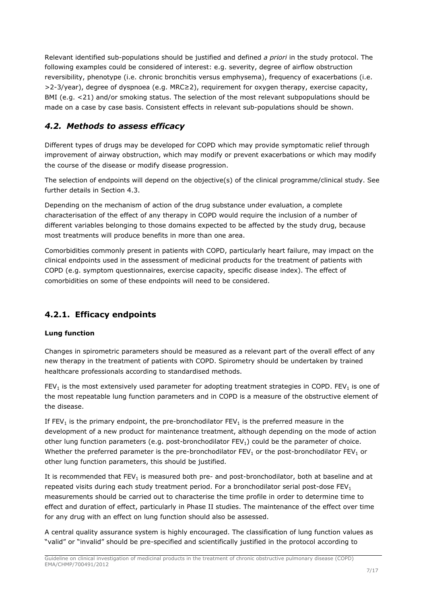Relevant identified sub-populations should be justified and defined *a priori* in the study protocol. The following examples could be considered of interest: e.g. severity, degree of airflow obstruction reversibility, phenotype (i.e. chronic bronchitis versus emphysema), frequency of exacerbations (i.e. >2-3/year), degree of dyspnoea (e.g. MRC≥2), requirement for oxygen therapy, exercise capacity, BMI (e.g. <21) and/or smoking status. The selection of the most relevant subpopulations should be made on a case by case basis. Consistent effects in relevant sub-populations should be shown.

## <span id="page-6-0"></span>*4.2. Methods to assess efficacy*

Different types of drugs may be developed for COPD which may provide symptomatic relief through improvement of airway obstruction, which may modify or prevent exacerbations or which may modify the course of the disease or modify disease progression.

The selection of endpoints will depend on the objective(s) of the clinical programme/clinical study. See further details in Section 4.3.

Depending on the mechanism of action of the drug substance under evaluation, a complete characterisation of the effect of any therapy in COPD would require the inclusion of a number of different variables belonging to those domains expected to be affected by the study drug, because most treatments will produce benefits in more than one area.

Comorbidities commonly present in patients with COPD, particularly heart failure, may impact on the clinical endpoints used in the assessment of medicinal products for the treatment of patients with COPD (e.g. symptom questionnaires, exercise capacity, specific disease index). The effect of comorbidities on some of these endpoints will need to be considered.

## <span id="page-6-1"></span>**4.2.1. Efficacy endpoints**

## **Lung function**

Changes in spirometric parameters should be measured as a relevant part of the overall effect of any new therapy in the treatment of patients with COPD. Spirometry should be undertaken by trained healthcare professionals according to standardised methods.

 $FEV<sub>1</sub>$  is the most extensively used parameter for adopting treatment strategies in COPD. FEV<sub>1</sub> is one of the most repeatable lung function parameters and in COPD is a measure of the obstructive element of the disease.

If FEV<sub>1</sub> is the primary endpoint, the pre-bronchodilator FEV<sub>1</sub> is the preferred measure in the development of a new product for maintenance treatment, although depending on the mode of action other lung function parameters (e.g. post-bronchodilator  $FEV<sub>1</sub>$ ) could be the parameter of choice. Whether the preferred parameter is the pre-bronchodilator FEV<sub>1</sub> or the post-bronchodilator FEV<sub>1</sub> or other lung function parameters, this should be justified.

It is recommended that  $FEV<sub>1</sub>$  is measured both pre- and post-bronchodilator, both at baseline and at repeated visits during each study treatment period. For a bronchodilator serial post-dose  $FEV<sub>1</sub>$ measurements should be carried out to characterise the time profile in order to determine time to effect and duration of effect, particularly in Phase II studies. The maintenance of the effect over time for any drug with an effect on lung function should also be assessed.

A central quality assurance system is highly encouraged. The classification of lung function values as "valid" or "invalid" should be pre-specified and scientifically justified in the protocol according to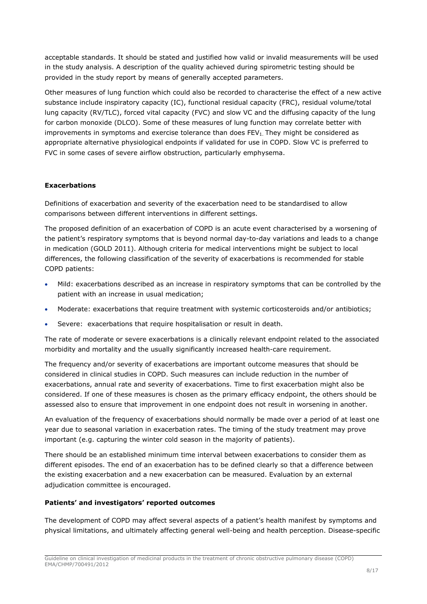acceptable standards. It should be stated and justified how valid or invalid measurements will be used in the study analysis. A description of the quality achieved during spirometric testing should be provided in the study report by means of generally accepted parameters.

Other measures of lung function which could also be recorded to characterise the effect of a new active substance include inspiratory capacity (IC), functional residual capacity (FRC), residual volume/total lung capacity (RV/TLC), forced vital capacity (FVC) and slow VC and the diffusing capacity of the lung for carbon monoxide (DLCO). Some of these measures of lung function may correlate better with improvements in symptoms and exercise tolerance than does  $FEV<sub>1</sub>$ . They might be considered as appropriate alternative physiological endpoints if validated for use in COPD. Slow VC is preferred to FVC in some cases of severe airflow obstruction, particularly emphysema.

## **Exacerbations**

Definitions of exacerbation and severity of the exacerbation need to be standardised to allow comparisons between different interventions in different settings.

The proposed definition of an exacerbation of COPD is an acute event characterised by a worsening of the patient's respiratory symptoms that is beyond normal day-to-day variations and leads to a change in medication (GOLD 2011). Although criteria for medical interventions might be subject to local differences, the following classification of the severity of exacerbations is recommended for stable COPD patients:

- Mild: exacerbations described as an increase in respiratory symptoms that can be controlled by the patient with an increase in usual medication;
- Moderate: exacerbations that require treatment with systemic corticosteroids and/or antibiotics;
- Severe: exacerbations that require hospitalisation or result in death.

The rate of moderate or severe exacerbations is a clinically relevant endpoint related to the associated morbidity and mortality and the usually significantly increased health-care requirement.

The frequency and/or severity of exacerbations are important outcome measures that should be considered in clinical studies in COPD. Such measures can include reduction in the number of exacerbations, annual rate and severity of exacerbations. Time to first exacerbation might also be considered. If one of these measures is chosen as the primary efficacy endpoint, the others should be assessed also to ensure that improvement in one endpoint does not result in worsening in another.

An evaluation of the frequency of exacerbations should normally be made over a period of at least one year due to seasonal variation in exacerbation rates. The timing of the study treatment may prove important (e.g. capturing the winter cold season in the majority of patients).

There should be an established minimum time interval between exacerbations to consider them as different episodes. The end of an exacerbation has to be defined clearly so that a difference between the existing exacerbation and a new exacerbation can be measured. Evaluation by an external adjudication committee is encouraged.

## **Patients' and investigators' reported outcomes**

The development of COPD may affect several aspects of a patient's health manifest by symptoms and physical limitations, and ultimately affecting general well-being and health perception. Disease-specific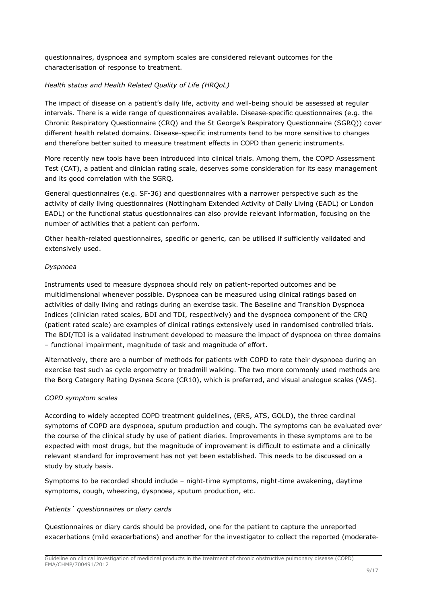questionnaires, dyspnoea and symptom scales are considered relevant outcomes for the characterisation of response to treatment.

## *Health status and Health Related Quality of Life (HRQoL)*

The impact of disease on a patient's daily life, activity and well-being should be assessed at regular intervals. There is a wide range of questionnaires available. Disease-specific questionnaires (e.g. the Chronic Respiratory Questionnaire (CRQ) and the St George's Respiratory Questionnaire (SGRQ)) cover different health related domains. Disease-specific instruments tend to be more sensitive to changes and therefore better suited to measure treatment effects in COPD than generic instruments.

More recently new tools have been introduced into clinical trials. Among them, the COPD Assessment Test (CAT), a patient and clinician rating scale, deserves some consideration for its easy management and its good correlation with the SGRQ.

General questionnaires (e.g. SF-36) and questionnaires with a narrower perspective such as the activity of daily living questionnaires (Nottingham Extended Activity of Daily Living (EADL) or London EADL) or the functional status questionnaires can also provide relevant information, focusing on the number of activities that a patient can perform.

Other health-related questionnaires, specific or generic, can be utilised if sufficiently validated and extensively used.

## *Dyspnoea*

Instruments used to measure dyspnoea should rely on patient-reported outcomes and be multidimensional whenever possible. Dyspnoea can be measured using clinical ratings based on activities of daily living and ratings during an exercise task. The Baseline and Transition Dyspnoea Indices (clinician rated scales, BDI and TDI, respectively) and the dyspnoea component of the CRQ (patient rated scale) are examples of clinical ratings extensively used in randomised controlled trials. The BDI/TDI is a validated instrument developed to measure the impact of dyspnoea on three domains – functional impairment, magnitude of task and magnitude of effort.

Alternatively, there are a number of methods for patients with COPD to rate their dyspnoea during an exercise test such as cycle ergometry or treadmill walking. The two more commonly used methods are the Borg Category Rating Dysnea Score (CR10), which is preferred, and visual analogue scales (VAS).

## *COPD symptom scales*

According to widely accepted COPD treatment guidelines, (ERS, ATS, GOLD), the three cardinal symptoms of COPD are dyspnoea, sputum production and cough. The symptoms can be evaluated over the course of the clinical study by use of patient diaries. Improvements in these symptoms are to be expected with most drugs, but the magnitude of improvement is difficult to estimate and a clinically relevant standard for improvement has not yet been established. This needs to be discussed on a study by study basis.

Symptoms to be recorded should include – night-time symptoms, night-time awakening, daytime symptoms, cough, wheezing, dyspnoea, sputum production, etc.

## *Patients´ questionnaires or diary cards*

Questionnaires or diary cards should be provided, one for the patient to capture the unreported exacerbations (mild exacerbations) and another for the investigator to collect the reported (moderate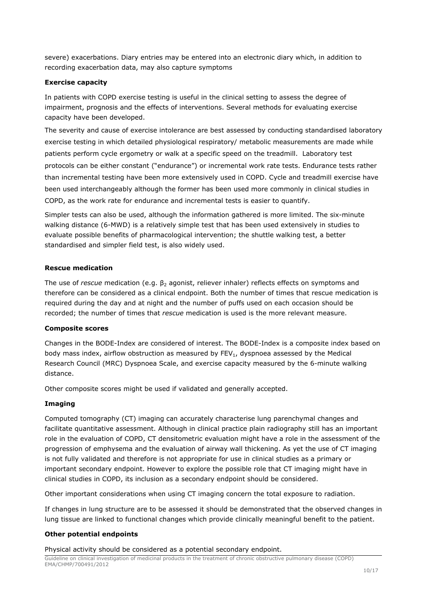severe) exacerbations. Diary entries may be entered into an electronic diary which, in addition to recording exacerbation data, may also capture symptoms

#### **Exercise capacity**

In patients with COPD exercise testing is useful in the clinical setting to assess the degree of impairment, prognosis and the effects of interventions. Several methods for evaluating exercise capacity have been developed.

The severity and cause of exercise intolerance are best assessed by conducting standardised laboratory exercise testing in which detailed physiological respiratory/ metabolic measurements are made while patients perform cycle ergometry or walk at a specific speed on the treadmill. Laboratory test protocols can be either constant ("endurance") or incremental work rate tests. Endurance tests rather than incremental testing have been more extensively used in COPD. Cycle and treadmill exercise have been used interchangeably although the former has been used more commonly in clinical studies in COPD, as the work rate for endurance and incremental tests is easier to quantify.

Simpler tests can also be used, although the information gathered is more limited. The six-minute walking distance (6-MWD) is a relatively simple test that has been used extensively in studies to evaluate possible benefits of pharmacological intervention; the shuttle walking test, a better standardised and simpler field test, is also widely used.

#### **Rescue medication**

The use of *rescue* medication (e.g. β<sub>2</sub> agonist, reliever inhaler) reflects effects on symptoms and therefore can be considered as a clinical endpoint. Both the number of times that rescue medication is required during the day and at night and the number of puffs used on each occasion should be recorded; the number of times that *rescue* medication is used is the more relevant measure.

## **Composite scores**

Changes in the BODE-Index are considered of interest. The BODE-Index is a composite index based on body mass index, airflow obstruction as measured by  $FEV<sub>1</sub>$ , dyspnoea assessed by the Medical Research Council (MRC) Dyspnoea Scale, and exercise capacity measured by the 6-minute walking distance.

Other composite scores might be used if validated and generally accepted.

## **Imaging**

Computed tomography (CT) imaging can accurately characterise lung parenchymal changes and facilitate quantitative assessment. Although in clinical practice plain radiography still has an important role in the evaluation of COPD, CT densitometric evaluation might have a role in the assessment of the progression of emphysema and the evaluation of airway wall thickening. As yet the use of CT imaging is not fully validated and therefore is not appropriate for use in clinical studies as a primary or important secondary endpoint. However to explore the possible role that CT imaging might have in clinical studies in COPD, its inclusion as a secondary endpoint should be considered.

Other important considerations when using CT imaging concern the total exposure to radiation.

If changes in lung structure are to be assessed it should be demonstrated that the observed changes in lung tissue are linked to functional changes which provide clinically meaningful benefit to the patient.

## **Other potential endpoints**

Physical activity should be considered as a potential secondary endpoint.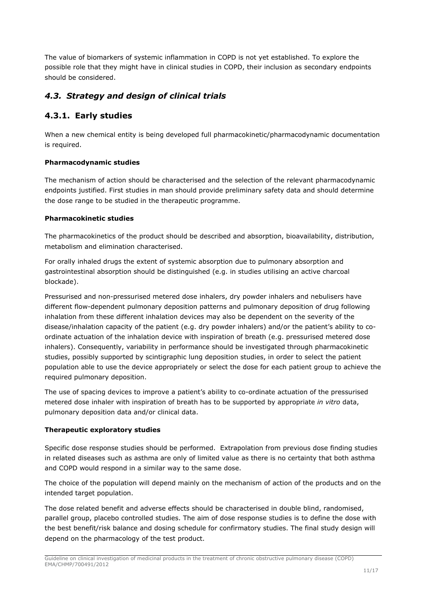The value of biomarkers of systemic inflammation in COPD is not yet established. To explore the possible role that they might have in clinical studies in COPD, their inclusion as secondary endpoints should be considered.

## <span id="page-10-0"></span>*4.3. Strategy and design of clinical trials*

## <span id="page-10-1"></span>**4.3.1. Early studies**

When a new chemical entity is being developed full pharmacokinetic/pharmacodynamic documentation is required.

## **Pharmacodynamic studies**

The mechanism of action should be characterised and the selection of the relevant pharmacodynamic endpoints justified. First studies in man should provide preliminary safety data and should determine the dose range to be studied in the therapeutic programme.

## **Pharmacokinetic studies**

The pharmacokinetics of the product should be described and absorption, bioavailability, distribution, metabolism and elimination characterised.

For orally inhaled drugs the extent of systemic absorption due to pulmonary absorption and gastrointestinal absorption should be distinguished (e.g. in studies utilising an active charcoal blockade).

Pressurised and non-pressurised metered dose inhalers, dry powder inhalers and nebulisers have different flow-dependent pulmonary deposition patterns and pulmonary deposition of drug following inhalation from these different inhalation devices may also be dependent on the severity of the disease/inhalation capacity of the patient (e.g. dry powder inhalers) and/or the patient's ability to coordinate actuation of the inhalation device with inspiration of breath (e.g. pressurised metered dose inhalers). Consequently, variability in performance should be investigated through pharmacokinetic studies, possibly supported by scintigraphic lung deposition studies, in order to select the patient population able to use the device appropriately or select the dose for each patient group to achieve the required pulmonary deposition.

The use of spacing devices to improve a patient's ability to co-ordinate actuation of the pressurised metered dose inhaler with inspiration of breath has to be supported by appropriate *in vitro* data, pulmonary deposition data and/or clinical data.

## **Therapeutic exploratory studies**

Specific dose response studies should be performed. Extrapolation from previous dose finding studies in related diseases such as asthma are only of limited value as there is no certainty that both asthma and COPD would respond in a similar way to the same dose.

The choice of the population will depend mainly on the mechanism of action of the products and on the intended target population.

The dose related benefit and adverse effects should be characterised in double blind, randomised, parallel group, placebo controlled studies. The aim of dose response studies is to define the dose with the best benefit/risk balance and dosing schedule for confirmatory studies. The final study design will depend on the pharmacology of the test product.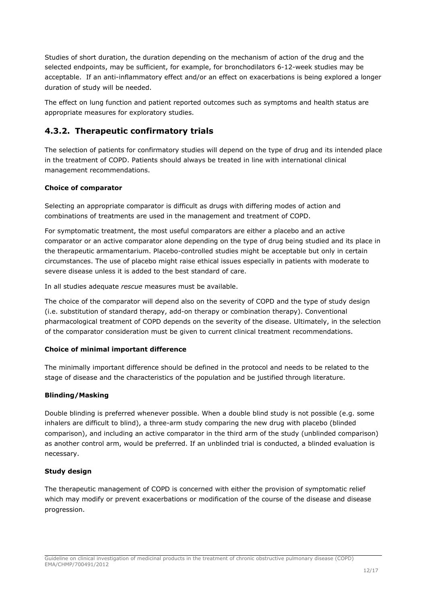Studies of short duration, the duration depending on the mechanism of action of the drug and the selected endpoints, may be sufficient, for example, for bronchodilators 6-12-week studies may be acceptable. If an anti-inflammatory effect and/or an effect on exacerbations is being explored a longer duration of study will be needed.

The effect on lung function and patient reported outcomes such as symptoms and health status are appropriate measures for exploratory studies.

## <span id="page-11-0"></span>**4.3.2. Therapeutic confirmatory trials**

The selection of patients for confirmatory studies will depend on the type of drug and its intended place in the treatment of COPD. Patients should always be treated in line with international clinical management recommendations.

## **Choice of comparator**

Selecting an appropriate comparator is difficult as drugs with differing modes of action and combinations of treatments are used in the management and treatment of COPD.

For symptomatic treatment, the most useful comparators are either a placebo and an active comparator or an active comparator alone depending on the type of drug being studied and its place in the therapeutic armamentarium. Placebo-controlled studies might be acceptable but only in certain circumstances. The use of placebo might raise ethical issues especially in patients with moderate to severe disease unless it is added to the best standard of care.

In all studies adequate *rescue* measures must be available.

The choice of the comparator will depend also on the severity of COPD and the type of study design (i.e. substitution of standard therapy, add-on therapy or combination therapy). Conventional pharmacological treatment of COPD depends on the severity of the disease. Ultimately, in the selection of the comparator consideration must be given to current clinical treatment recommendations.

## **Choice of minimal important difference**

The minimally important difference should be defined in the protocol and needs to be related to the stage of disease and the characteristics of the population and be justified through literature.

## **Blinding/Masking**

Double blinding is preferred whenever possible. When a double blind study is not possible (e.g. some inhalers are difficult to blind), a three-arm study comparing the new drug with placebo (blinded comparison), and including an active comparator in the third arm of the study (unblinded comparison) as another control arm, would be preferred. If an unblinded trial is conducted, a blinded evaluation is necessary.

## **Study design**

The therapeutic management of COPD is concerned with either the provision of symptomatic relief which may modify or prevent exacerbations or modification of the course of the disease and disease progression.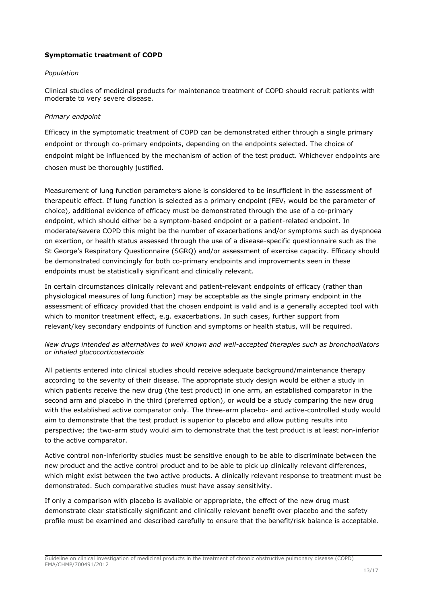## **Symptomatic treatment of COPD**

## *Population*

Clinical studies of medicinal products for maintenance treatment of COPD should recruit patients with moderate to very severe disease.

## *Primary endpoint*

Efficacy in the symptomatic treatment of COPD can be demonstrated either through a single primary endpoint or through co-primary endpoints, depending on the endpoints selected. The choice of endpoint might be influenced by the mechanism of action of the test product. Whichever endpoints are chosen must be thoroughly justified.

Measurement of lung function parameters alone is considered to be insufficient in the assessment of therapeutic effect. If lung function is selected as a primary endpoint (FEV<sub>1</sub> would be the parameter of choice), additional evidence of efficacy must be demonstrated through the use of a co-primary endpoint, which should either be a symptom-based endpoint or a patient-related endpoint. In moderate/severe COPD this might be the number of exacerbations and/or symptoms such as dyspnoea on exertion, or health status assessed through the use of a disease-specific questionnaire such as the St George's Respiratory Questionnaire (SGRQ) and/or assessment of exercise capacity. Efficacy should be demonstrated convincingly for both co-primary endpoints and improvements seen in these endpoints must be statistically significant and clinically relevant.

In certain circumstances clinically relevant and patient-relevant endpoints of efficacy (rather than physiological measures of lung function) may be acceptable as the single primary endpoint in the assessment of efficacy provided that the chosen endpoint is valid and is a generally accepted tool with which to monitor treatment effect, e.g. exacerbations. In such cases, further support from relevant/key secondary endpoints of function and symptoms or health status, will be required.

## *New drugs intended as alternatives to well known and well-accepted therapies such as bronchodilators or inhaled glucocorticosteroids*

All patients entered into clinical studies should receive adequate background/maintenance therapy according to the severity of their disease. The appropriate study design would be either a study in which patients receive the new drug (the test product) in one arm, an established comparator in the second arm and placebo in the third (preferred option), or would be a study comparing the new drug with the established active comparator only. The three-arm placebo- and active-controlled study would aim to demonstrate that the test product is superior to placebo and allow putting results into perspective; the two-arm study would aim to demonstrate that the test product is at least non-inferior to the active comparator.

Active control non-inferiority studies must be sensitive enough to be able to discriminate between the new product and the active control product and to be able to pick up clinically relevant differences, which might exist between the two active products. A clinically relevant response to treatment must be demonstrated. Such comparative studies must have assay sensitivity.

If only a comparison with placebo is available or appropriate, the effect of the new drug must demonstrate clear statistically significant and clinically relevant benefit over placebo and the safety profile must be examined and described carefully to ensure that the benefit/risk balance is acceptable.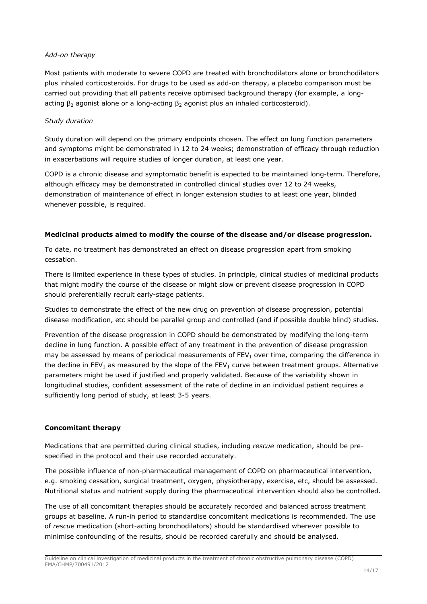#### *Add-on therapy*

Most patients with moderate to severe COPD are treated with bronchodilators alone or bronchodilators plus inhaled corticosteroids. For drugs to be used as add-on therapy, a placebo comparison must be carried out providing that all patients receive optimised background therapy (for example, a longacting  $β_2$  agonist alone or a long-acting  $β_2$  agonist plus an inhaled corticosteroid).

## *Study duration*

Study duration will depend on the primary endpoints chosen. The effect on lung function parameters and symptoms might be demonstrated in 12 to 24 weeks; demonstration of efficacy through reduction in exacerbations will require studies of longer duration, at least one year.

COPD is a chronic disease and symptomatic benefit is expected to be maintained long-term. Therefore, although efficacy may be demonstrated in controlled clinical studies over 12 to 24 weeks, demonstration of maintenance of effect in longer extension studies to at least one year, blinded whenever possible, is required.

## **Medicinal products aimed to modify the course of the disease and/or disease progression.**

To date, no treatment has demonstrated an effect on disease progression apart from smoking cessation.

There is limited experience in these types of studies. In principle, clinical studies of medicinal products that might modify the course of the disease or might slow or prevent disease progression in COPD should preferentially recruit early-stage patients.

Studies to demonstrate the effect of the new drug on prevention of disease progression, potential disease modification, etc should be parallel group and controlled (and if possible double blind) studies.

Prevention of the disease progression in COPD should be demonstrated by modifying the long-term decline in lung function. A possible effect of any treatment in the prevention of disease progression may be assessed by means of periodical measurements of  $FEV<sub>1</sub>$  over time, comparing the difference in the decline in FEV<sub>1</sub> as measured by the slope of the FEV<sub>1</sub> curve between treatment groups. Alternative parameters might be used if justified and properly validated. Because of the variability shown in longitudinal studies, confident assessment of the rate of decline in an individual patient requires a sufficiently long period of study, at least 3-5 years.

## **Concomitant therapy**

Medications that are permitted during clinical studies, including *rescue* medication, should be prespecified in the protocol and their use recorded accurately.

The possible influence of non-pharmaceutical management of COPD on pharmaceutical intervention, e.g. smoking cessation, surgical treatment, oxygen, physiotherapy, exercise, etc, should be assessed. Nutritional status and nutrient supply during the pharmaceutical intervention should also be controlled.

The use of all concomitant therapies should be accurately recorded and balanced across treatment groups at baseline. A run-in period to standardise concomitant medications is recommended. The use of *rescue* medication (short-acting bronchodilators) should be standardised wherever possible to minimise confounding of the results, should be recorded carefully and should be analysed.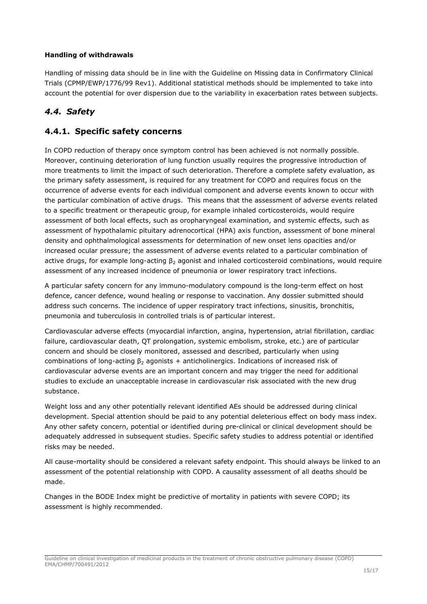## **Handling of withdrawals**

Handling of missing data should be in line with the Guideline on Missing data in Confirmatory Clinical Trials (CPMP/EWP/1776/99 Rev1). Additional statistical methods should be implemented to take into account the potential for over dispersion due to the variability in exacerbation rates between subjects.

## <span id="page-14-0"></span>*4.4. Safety*

## <span id="page-14-1"></span>**4.4.1. Specific safety concerns**

In COPD reduction of therapy once symptom control has been achieved is not normally possible. Moreover, continuing deterioration of lung function usually requires the progressive introduction of more treatments to limit the impact of such deterioration. Therefore a complete safety evaluation, as the primary safety assessment, is required for any treatment for COPD and requires focus on the occurrence of adverse events for each individual component and adverse events known to occur with the particular combination of active drugs. This means that the assessment of adverse events related to a specific treatment or therapeutic group, for example inhaled corticosteroids, would require assessment of both local effects, such as oropharyngeal examination, and systemic effects, such as assessment of hypothalamic pituitary adrenocortical (HPA) axis function, assessment of bone mineral density and ophthalmological assessments for determination of new onset lens opacities and/or increased ocular pressure; the assessment of adverse events related to a particular combination of active drugs, for example long-acting  $\beta_2$  agonist and inhaled corticosteroid combinations, would require assessment of any increased incidence of pneumonia or lower respiratory tract infections.

A particular safety concern for any immuno-modulatory compound is the long-term effect on host defence, cancer defence, wound healing or response to vaccination. Any dossier submitted should address such concerns. The incidence of upper respiratory tract infections, sinusitis, bronchitis, pneumonia and tuberculosis in controlled trials is of particular interest.

Cardiovascular adverse effects (myocardial infarction, angina, hypertension, atrial fibrillation, cardiac failure, cardiovascular death, QT prolongation, systemic embolism, stroke, etc.) are of particular concern and should be closely monitored, assessed and described, particularly when using combinations of long-acting  $\beta_2$  agonists + anticholinergics. Indications of increased risk of cardiovascular adverse events are an important concern and may trigger the need for additional studies to exclude an unacceptable increase in cardiovascular risk associated with the new drug substance.

Weight loss and any other potentially relevant identified AEs should be addressed during clinical development. Special attention should be paid to any potential deleterious effect on body mass index. Any other safety concern, potential or identified during pre-clinical or clinical development should be adequately addressed in subsequent studies. Specific safety studies to address potential or identified risks may be needed.

All cause-mortality should be considered a relevant safety endpoint. This should always be linked to an assessment of the potential relationship with COPD. A causality assessment of all deaths should be made.

Changes in the BODE Index might be predictive of mortality in patients with severe COPD; its assessment is highly recommended.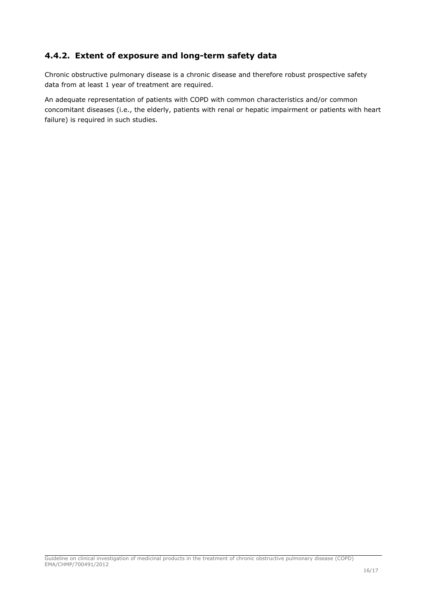## <span id="page-15-0"></span>**4.4.2. Extent of exposure and long-term safety data**

Chronic obstructive pulmonary disease is a chronic disease and therefore robust prospective safety data from at least 1 year of treatment are required.

An adequate representation of patients with COPD with common characteristics and/or common concomitant diseases (i.e., the elderly, patients with renal or hepatic impairment or patients with heart failure) is required in such studies.